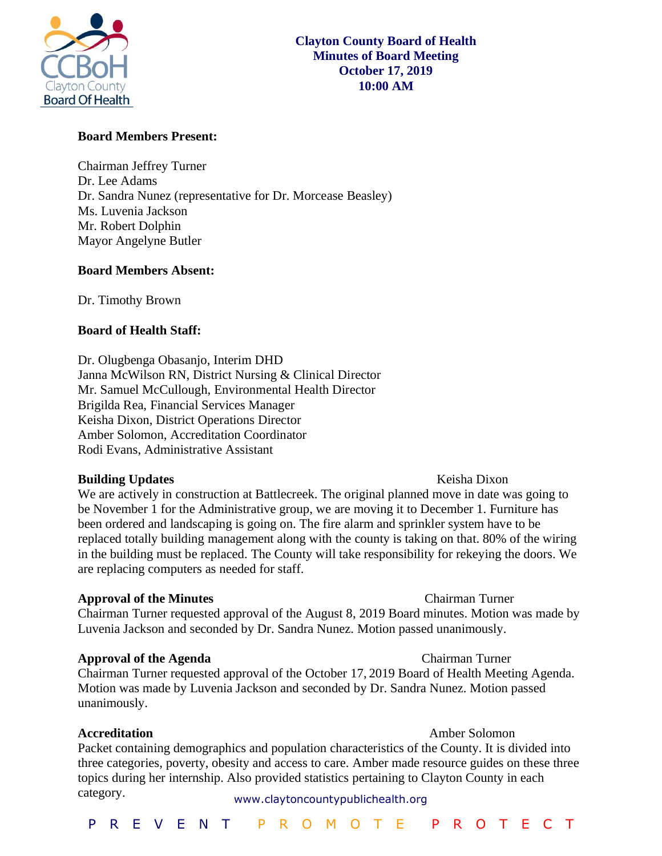

## **Board Members Present:**

Chairman Jeffrey Turner Dr. Lee Adams Dr. Sandra Nunez (representative for Dr. Morcease Beasley) Ms. Luvenia Jackson Mr. Robert Dolphin Mayor Angelyne Butler

### **Board Members Absent:**

Dr. Timothy Brown

### **Board of Health Staff:**

Dr. Olugbenga Obasanjo, Interim DHD Janna McWilson RN, District Nursing & Clinical Director Mr. Samuel McCullough, Environmental Health Director Brigilda Rea, Financial Services Manager Keisha Dixon, District Operations Director Amber Solomon, Accreditation Coordinator Rodi Evans, Administrative Assistant

### **Building Updates Contract Contract Contract Contract Contract Contract Contract Contract Contract Contract Contract Contract Contract Contract Contract Contract Contract Contract Contract Contract Contract Contract Cont**

## We are actively in construction at Battlecreek. The original planned move in date was going to be November 1 for the Administrative group, we are moving it to December 1. Furniture has been ordered and landscaping is going on. The fire alarm and sprinkler system have to be replaced totally building management along with the county is taking on that. 80% of the wiring in the building must be replaced. The County will take responsibility for rekeying the doors. We are replacing computers as needed for staff.

### **Approval of the Minutes Chairman Turner**

Chairman Turner requested approval of the August 8, 2019 Board minutes. Motion was made by Luvenia Jackson and seconded by Dr. Sandra Nunez. Motion passed unanimously.

### **Approval of the Agenda Chairman Turner**

Chairman Turner requested approval of the October 17, 2019 Board of Health Meeting Agenda. Motion was made by Luvenia Jackson and seconded by Dr. Sandra Nunez. Motion passed unanimously.

### **Accreditation Amber Solomon**

www.claytoncountypublichealth.org Packet containing demographics and population characteristics of the County. It is divided into three categories, poverty, obesity and access to care. Amber made resource guides on these three topics during her internship. Also provided statistics pertaining to Clayton County in each category.

### P R E V E N T P R O M O T E P R O T E C T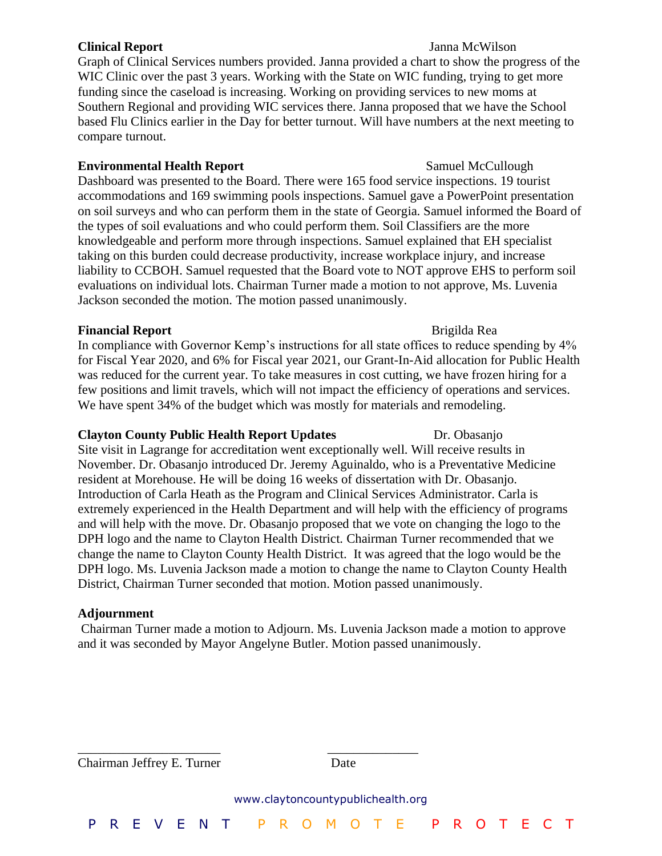### **Clinical Report** Janna McWilson

Graph of Clinical Services numbers provided. Janna provided a chart to show the progress of the WIC Clinic over the past 3 years. Working with the State on WIC funding, trying to get more funding since the caseload is increasing. Working on providing services to new moms at Southern Regional and providing WIC services there. Janna proposed that we have the School based Flu Clinics earlier in the Day for better turnout. Will have numbers at the next meeting to compare turnout.

# **Environmental Health Report Samuel McCullough**

Dashboard was presented to the Board. There were 165 food service inspections. 19 tourist accommodations and 169 swimming pools inspections. Samuel gave a PowerPoint presentation on soil surveys and who can perform them in the state of Georgia. Samuel informed the Board of the types of soil evaluations and who could perform them. Soil Classifiers are the more knowledgeable and perform more through inspections. Samuel explained that EH specialist taking on this burden could decrease productivity, increase workplace injury, and increase liability to CCBOH. Samuel requested that the Board vote to NOT approve EHS to perform soil evaluations on individual lots. Chairman Turner made a motion to not approve, Ms. Luvenia Jackson seconded the motion. The motion passed unanimously.

# **Financial Report Brigilda Reading Services Brigilda Reading Services Brigilda Reading Services**

In compliance with Governor Kemp's instructions for all state offices to reduce spending by 4% for Fiscal Year 2020, and 6% for Fiscal year 2021, our Grant-In-Aid allocation for Public Health was reduced for the current year. To take measures in cost cutting, we have frozen hiring for a few positions and limit travels, which will not impact the efficiency of operations and services. We have spent 34% of the budget which was mostly for materials and remodeling.

# **Clayton County Public Health Report Updates** Dr. Obasanjo

Site visit in Lagrange for accreditation went exceptionally well. Will receive results in November. Dr. Obasanjo introduced Dr. Jeremy Aguinaldo, who is a Preventative Medicine resident at Morehouse. He will be doing 16 weeks of dissertation with Dr. Obasanjo. Introduction of Carla Heath as the Program and Clinical Services Administrator. Carla is extremely experienced in the Health Department and will help with the efficiency of programs and will help with the move. Dr. Obasanjo proposed that we vote on changing the logo to the DPH logo and the name to Clayton Health District. Chairman Turner recommended that we change the name to Clayton County Health District. It was agreed that the logo would be the DPH logo. Ms. Luvenia Jackson made a motion to change the name to Clayton County Health District, Chairman Turner seconded that motion. Motion passed unanimously.

# **Adjournment**

Chairman Turner made a motion to Adjourn. Ms. Luvenia Jackson made a motion to approve and it was seconded by Mayor Angelyne Butler. Motion passed unanimously.

www.claytoncountypublichealth.org P R E V E N T P R O M O T E P R O T E C T \_\_\_\_\_\_\_\_\_\_\_\_\_\_\_\_\_\_\_\_\_\_ \_\_\_\_\_\_\_\_\_\_\_\_\_\_ Chairman Jeffrey E. Turner Date